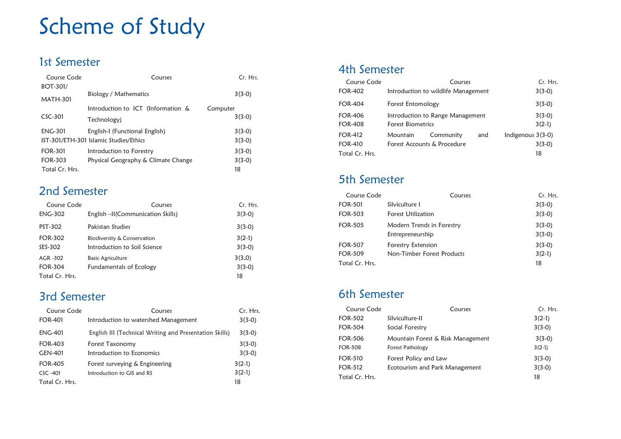# Scheme of Study

## 1st Semester

| Course Code     | Conrices                               | Cr. Hrs. |
|-----------------|----------------------------------------|----------|
| BOT-301/        | Biology / Mathematics                  | $3(3-0)$ |
| <b>MATH-301</b> |                                        |          |
|                 | Introduction to ICT (Information &     | Computer |
| $CSC-301$       | Technology)                            | $3(3-0)$ |
| <b>ENG-301</b>  | English-I (Functional English)         | $3(3-0)$ |
|                 | IST-301/ETH-301 Islamic Studies/Ethics | $3(3-0)$ |
| FOR-301         | Introduction to Forestry               | $3(3-0)$ |
| FOR-303         | Physical Geography & Climate Change    | $3(3-0)$ |
| Total Cr. Hrs.  |                                        | 18       |

## 2nd Semester

| Course Code    | Courses                           | Cr. Hrs. |
|----------------|-----------------------------------|----------|
| <b>ENG-302</b> | English -II(Communication Skills) | $3(3-0)$ |
| PST-302        | Pakistan Studies                  | $3(3-0)$ |
| <b>FOR-302</b> | Biodiversity & Conservation       | $3(2-1)$ |
| SES-302        | Introduction to Soil Science      | $3(3-0)$ |
| AGR-302        | <b>Basic Agriculture</b>          | 3(3,0)   |
| <b>FOR-304</b> | Fundamentals of Ecology           | $3(3-0)$ |
| Total Cr. Hrs. |                                   | 18       |

## 3rd Semester

| Course Code    | Courses                                                 | Cr. Hrs. |
|----------------|---------------------------------------------------------|----------|
| <b>FOR-401</b> | Introduction to watershed Management                    | $3(3-0)$ |
| <b>ENG-401</b> | English III (Technical Writing and Presentation Skills) | $3(3-0)$ |
| FOR-403        | Forest Taxonomy                                         | $3(3-0)$ |
| GEN-401        | Introduction to Economics                               | $3(3-0)$ |
| <b>FOR-405</b> | Forest surveying & Engineering                          | $3(2-1)$ |
| $CSC - 401$    | Introduction to GIS and RS                              | $3(2-1)$ |
| Total Cr. Hrs. |                                                         | 18       |

#### 4th Semester

| Course Code    | Courses                             |                             |          | Cr. Hrs.          |
|----------------|-------------------------------------|-----------------------------|----------|-------------------|
| FOR-402        | Introduction to wildlife Management |                             | $3(3-0)$ |                   |
| <b>FOR-404</b> | Forest Entomology                   |                             |          | $3(3-0)$          |
| <b>FOR-406</b> | Introduction to Range Management    |                             | $3(3-0)$ |                   |
| <b>FOR-408</b> | <b>Forest Biometrics</b>            |                             | $3(2-1)$ |                   |
| <b>FOR-412</b> | Mountain                            | Community                   | and      | Indigenous 3(3-0) |
| <b>FOR-410</b> |                                     | Forest Accounts & Procedure |          | $3(3-0)$          |
| Total Cr. Hrs. |                                     |                             |          | 18                |

## 5th Semester

| Course Code    | Courses                    | Cr. Hrs. |
|----------------|----------------------------|----------|
| <b>FOR-501</b> | Silviculture 1             | $3(3-0)$ |
| FOR-503        | <b>Forest Utilization</b>  | $3(3-0)$ |
| <b>FOR-505</b> | Modern Trends in Forestry  | $3(3-0)$ |
|                | Entrepreneurship           | $3(3-0)$ |
| <b>FOR-507</b> | Forestry Extension         | $3(3-0)$ |
| <b>FOR-509</b> | Non-Timber Forest Products | $3(2-1)$ |
| Total Cr. Hrs. |                            | 18       |

## 6th Semester

| Course Code    | Courses                           | Cr. Hrs. |
|----------------|-----------------------------------|----------|
| FOR-502        | Silviculture-II                   | $3(2-1)$ |
| FOR-504        | Social Forestry                   | $3(3-0)$ |
| FOR-506        | Mountain Forest & Risk Management | $3(3-0)$ |
| FOR-508        | Forest Pathology                  | $3(2-1)$ |
| <b>FOR-510</b> | Forest Policy and Law             | $3(3-0)$ |
| FOR-512        | Ecotourism and Park Management    | $3(3-0)$ |
| Total Cr. Hrs. |                                   | 18       |